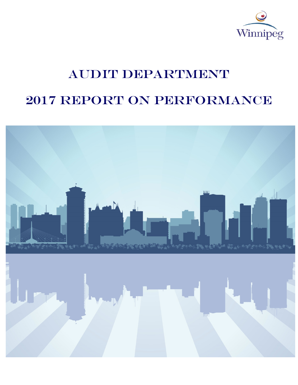

# AUDIT DEPARTMENT

# 2017 Report on Performance

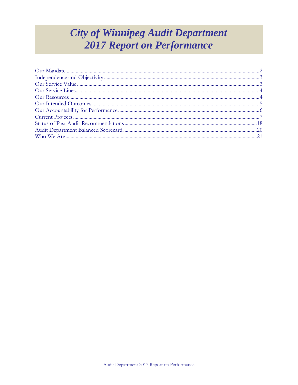# **City of Winnipeg Audit Department 2017 Report on Performance**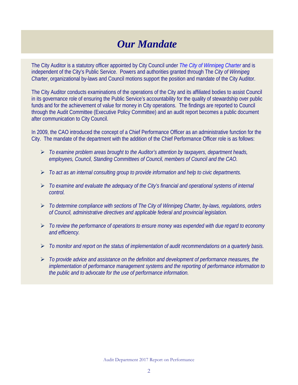## *Our Mandate*

The City Auditor is a statutory officer appointed by City Council under *[The City of Winnipeg Charter](http://web2.gov.mb.ca/laws/statutes/municipal/c03902e.php)* and is independent of the City's Public Service. Powers and authorities granted through The *City of Winnipeg Charter*, organizational by-laws and Council motions support the position and mandate of the City Auditor.

The City Auditor conducts examinations of the operations of the City and its affiliated bodies to assist Council in its governance role of ensuring the Public Service's accountability for the quality of stewardship over public funds and for the achievement of value for money in City operations. The findings are reported to Council through the Audit Committee (Executive Policy Committee) and an audit report becomes a public document after communication to City Council.

In 2009, the CAO introduced the concept of a Chief Performance Officer as an administrative function for the City. The mandate of the department with the addition of the Chief Performance Officer role is as follows:

- *To examine problem areas brought to the Auditor's attention by taxpayers, department heads, employees, Council, Standing Committees of Council, members of Council and the CAO.*
- *To act as an internal consulting group to provide information and help to civic departments.*
- *To examine and evaluate the adequacy of the City's financial and operational systems of internal control.*
- *To determine compliance with sections of The City of Winnipeg Charter, by-laws, regulations, orders of Council, administrative directives and applicable federal and provincial legislation.*
- *To review the performance of operations to ensure money was expended with due regard to economy and efficiency.*
- *To monitor and report on the status of implementation of audit recommendations on a quarterly basis.*
- *To provide advice and assistance on the definition and development of performance measures, the implementation of performance management systems and the reporting of performance information to the public and to advocate for the use of performance information.*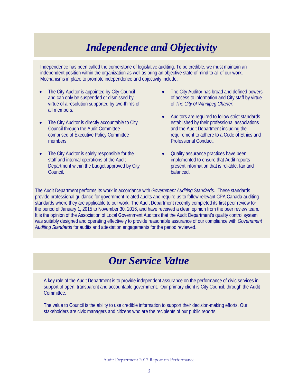# *Independence and Objectivity*

Independence has been called the cornerstone of legislative auditing. To be credible, we must maintain an independent position within the organization as well as bring an objective state of mind to all of our work. Mechanisms in place to promote independence and objectivity include:

- The City Auditor is appointed by City Council and can only be suspended or dismissed by virtue of a resolution supported by two-thirds of all members.
- The City Auditor is directly accountable to City Council through the Audit Committee comprised of Executive Policy Committee members.
- The City Auditor is solely responsible for the staff and internal operations of the Audit Department within the budget approved by City Council.
- The City Auditor has broad and defined powers of access to information and City staff by virtue of *The City of Winnipeg Charter*.
- Auditors are required to follow strict standards established by their professional associations and the Audit Department including the requirement to adhere to a Code of Ethics and Professional Conduct.
- Quality assurance practices have been implemented to ensure that Audit reports present information that is reliable, fair and balanced.

<span id="page-3-0"></span>The Audit Department performs its work in accordance with *Government Auditing Standards*. These standards provide professional guidance for government-related audits and require us to follow relevant CPA Canada auditing standards where they are applicable to our work. The Audit Department recently completed its first peer review for the period of January 1, 2015 to November 30, 2016, and have received a clean opinion from the peer review team. It is the opinion of the Association of Local Government Auditors that the Audit Department's quality control system was suitably designed and operating effectively to provide reasonable assurance of our compliance with *Government Auditing Standards* for audits and attestation engagements for the period reviewed.

### *Our Service Value*

A key role of the Audit Department is to provide independent assurance on the performance of civic services in support of open, transparent and accountable government. Our primary client is City Council, through the Audit Committee.

The value to Council is the ability to use credible information to support their decision-making efforts. Our stakeholders are civic managers and citizens who are the recipients of our public reports.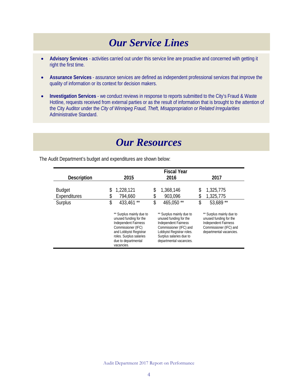### *Our Service Lines*

- <span id="page-4-0"></span>• **Advisory Services** - activities carried out under this service line are proactive and concerned with getting it right the first time.
- **Assurance Services** assurance services are defined as independent professional services that improve the quality of information or its context for decision makers.
- **Investigation Services** we conduct reviews in response to reports submitted to the City's Fraud & Waste Hotline, requests received from external parties or as the result of information that is brought to the attention of the City Auditor under the *City of Winnipeg Fraud, Theft, Misappropriation or Related Irregularities* Administrative Standard.

### *Our Resources*

<span id="page-4-1"></span>The Audit Department's budget and expenditures are shown below:

|                    | <b>Fiscal Year</b>                                                                                                                                                                                |                                                                                                                                                                                                |                                                                                                                                        |  |
|--------------------|---------------------------------------------------------------------------------------------------------------------------------------------------------------------------------------------------|------------------------------------------------------------------------------------------------------------------------------------------------------------------------------------------------|----------------------------------------------------------------------------------------------------------------------------------------|--|
| <b>Description</b> | 2015                                                                                                                                                                                              | 2016                                                                                                                                                                                           | 2017                                                                                                                                   |  |
|                    |                                                                                                                                                                                                   |                                                                                                                                                                                                |                                                                                                                                        |  |
| <b>Budget</b>      | 1,228,121<br>\$                                                                                                                                                                                   | 1,368,146<br>\$                                                                                                                                                                                | 1,325,775<br>\$                                                                                                                        |  |
| Expenditures       | 794,660<br>\$                                                                                                                                                                                     | 903,096<br>\$                                                                                                                                                                                  | 1,325,775<br>\$                                                                                                                        |  |
| Surplus            | \$<br>433,461**                                                                                                                                                                                   | \$<br>465,050**                                                                                                                                                                                | \$<br>53,689 **                                                                                                                        |  |
|                    | ** Surplus mainly due to<br>unused funding for the<br><b>Independent Fairness</b><br>Commissioner (IFC)<br>and Lobbyist Registrar<br>roles. Surplus salaries<br>due to departmental<br>vacancies. | ** Surplus mainly due to<br>unused funding for the<br><b>Independent Fairness</b><br>Commissioner (IFC) and<br>Lobbyist Registrar roles.<br>Surplus salaries due to<br>departmental vacancies. | ** Surplus mainly due to<br>unused funding for the<br><b>Independent Fairness</b><br>Commissioner (IFC) and<br>departmental vacancies. |  |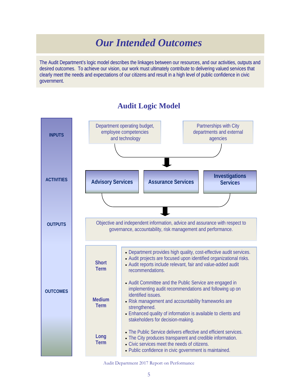### *Our Intended Outcomes*

<span id="page-5-0"></span>The Audit Department's logic model describes the linkages between our resources, and our activities, outputs and desired outcomes. To achieve our vision, our work must ultimately contribute to delivering valued services that clearly meet the needs and expectations of our citizens and result in a high level of public confidence in civic government.



#### **Audit Logic Model**

Audit Department 2017 Report on Performance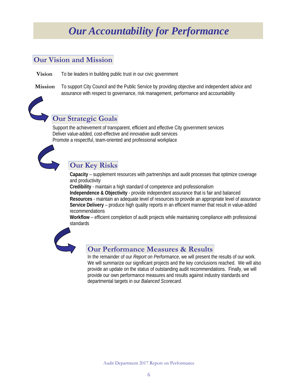# *Our Accountability for Performance*

#### <span id="page-6-0"></span>**Our Vision and Mission**

- **Vision** To be leaders in building public trust in our civic government
- **Mission** To support City Council and the Public Service by providing objective and independent advice and assurance with respect to governance, risk management, performance and accountability



### **Our Strategic Goals**

Support the achievement of transparent, efficient and effective City government services Deliver value-added, cost-effective and innovative audit services Promote a respectful, team-oriented and professional workplace



#### **Our Key Risks**

**Capacity** – supplement resources with partnerships and audit processes that optimize coverage and productivity

**Credibility** - maintain a high standard of competence and professionalism **Independence & Objectivity** - provide independent assurance that is fair and balanced **Resources** - maintain an adequate level of resources to provide an appropriate level of assurance **Service Delivery** – produce high quality reports in an efficient manner that result in value-added recommendations

**Workflow** – efficient completion of audit projects while maintaining compliance with professional standards



#### **Our Performance Measures & Results**

In the remainder of our *Report on Performance*, we will present the results of our work. We will summarize our significant projects and the key conclusions reached. We will also provide an update on the status of outstanding audit recommendations. Finally, we will provide our own performance measures and results against industry standards and departmental targets in our *Balanced Scorecard.*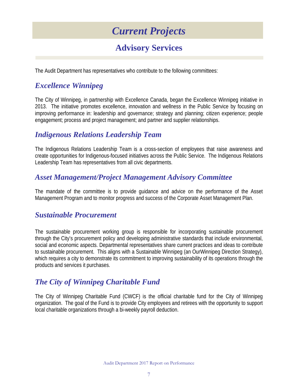## *Current Projects*

### **Advisory Services**

<span id="page-7-0"></span>The Audit Department has representatives who contribute to the following committees:

#### *Excellence Winnipeg*

The City of Winnipeg, in partnership with Excellence Canada, began the Excellence Winnipeg initiative in 2013. The initiative promotes excellence, innovation and wellness in the Public Service by focusing on improving performance in: leadership and governance; strategy and planning; citizen experience; people engagement; process and project management; and partner and supplier relationships.

#### *Indigenous Relations Leadership Team*

The Indigenous Relations Leadership Team is a cross-section of employees that raise awareness and create opportunities for Indigenous-focused initiatives across the Public Service. The Indigenous Relations Leadership Team has representatives from all civic departments.

#### *Asset Management/Project Management Advisory Committee*

The mandate of the committee is to provide guidance and advice on the performance of the Asset Management Program and to monitor progress and success of the Corporate Asset Management Plan.

#### *Sustainable Procurement*

The sustainable procurement working group is responsible for incorporating sustainable procurement through the City's procurement policy and developing administrative standards that include environmental, social and economic aspects. Departmental representatives share current practices and ideas to contribute to sustainable procurement. This aligns with a Sustainable Winnipeg (an OurWinnipeg Direction Strategy), which requires a city to demonstrate its commitment to improving sustainability of its operations through the products and services it purchases.

#### *The City of Winnipeg Charitable Fund*

The City of Winnipeg Charitable Fund (CWCF) is the official charitable fund for the City of Winnipeg organization. The goal of the Fund is to provide City employees and retirees with the opportunity to support local charitable organizations through a bi-weekly payroll deduction.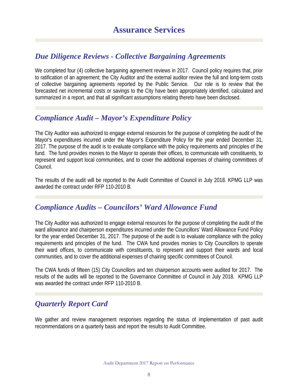#### *Due Diligence Reviews - Collective Bargaining Agreements*

We completed four (4) collective bargaining agreement reviews in 2017. Council policy requires that, prior to ratification of an agreement; the City Auditor and the external auditor review the full and long-term costs of collective bargaining agreements reported by the Public Service. Our role is to review that the forecasted net incremental costs or savings to the City have been appropriately identified, calculated and summarized in a report, and that all significant assumptions relating thereto have been disclosed.

#### *Compliance Audit – Mayor's Expenditure Policy*

The City Auditor was authorized to engage external resources for the purpose of completing the audit of the Mayor's expenditures incurred under the Mayor's Expenditure Policy for the year ended December 31, 2017. The purpose of the audit is to evaluate compliance with the policy requirements and principles of the fund. The fund provides monies to the Mayor to operate their offices, to communicate with constituents, to represent and support local communities, and to cover the additional expenses of chairing committees of Council.

The results of the audit will be reported to the Audit Committee of Council in July 2018. KPMG LLP was awarded the contract under RFP 110-2010 B.

#### *Compliance Audits – Councilors' Ward Allowance Fund*

The City Auditor was authorized to engage external resources for the purpose of completing the audit of the ward allowance and chairperson expenditures incurred under the Councillors' Ward Allowance Fund Policy for the year ended December 31, 2017. The purpose of the audit is to evaluate compliance with the policy requirements and principles of the fund. The CWA fund provides monies to City Councillors to operate their ward offices, to communicate with constituents, to represent and support their wards and local communities, and to cover the additional expenses of chairing specific committees of Council.

The CWA funds of fifteen (15) City Councillors and ten chairperson accounts were audited for 2017. The results of the audits will be reported to the Governance Committee of Council in July 2018. KPMG LLP was awarded the contract under RFP 110-2010 B.

#### *Quarterly Report Card*

We gather and review management responses regarding the status of implementation of past audit recommendations on a quarterly basis and report the results to Audit Committee.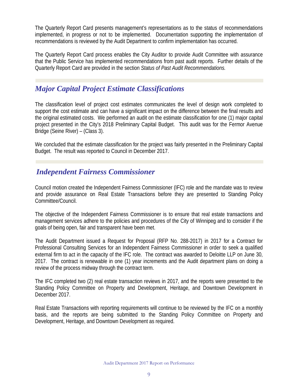The Quarterly Report Card presents management's representations as to the status of recommendations implemented, in progress or not to be implemented. Documentation supporting the implementation of recommendations is reviewed by the Audit Department to confirm implementation has occurred.

The Quarterly Report Card process enables the City Auditor to provide Audit Committee with assurance that the Public Service has implemented recommendations from past audit reports. Further details of the Quarterly Report Card are provided in the section *Status of Past Audit Recommendations.*

#### *Major Capital Project Estimate Classifications*

The classification level of project cost estimates communicates the level of design work completed to support the cost estimate and can have a significant impact on the difference between the final results and the original estimated costs. We performed an audit on the estimate classification for one (1) major capital project presented in the City's 2018 Preliminary Capital Budget. This audit was for the Fermor Avenue Bridge (Seine River) – (Class 3).

We concluded that the estimate classification for the project was fairly presented in the Preliminary Capital Budget. The result was reported to Council in December 2017.

#### *Independent Fairness Commissioner*

Council motion created the Independent Fairness Commissioner (IFC) role and the mandate was to review and provide assurance on Real Estate Transactions before they are presented to Standing Policy Committee/Council.

The objective of the Independent Fairness Commissioner is to ensure that real estate transactions and management services adhere to the policies and procedures of the City of Winnipeg and to consider if the goals of being open, fair and transparent have been met.

The Audit Department issued a Request for Proposal (RFP No. 288-2017) in 2017 for a Contract for Professional Consulting Services for an Independent Fairness Commissioner in order to seek a qualified external firm to act in the capacity of the IFC role. The contract was awarded to Deloitte LLP on June 30, 2017. The contract is renewable in one (1) year increments and the Audit department plans on doing a review of the process midway through the contract term.

The IFC completed two (2) real estate transaction reviews in 2017, and the reports were presented to the Standing Policy Committee on Property and Development, Heritage, and Downtown Development in December 2017.

Real Estate Transactions with reporting requirements will continue to be reviewed by the IFC on a monthly basis, and the reports are being submitted to the Standing Policy Committee on Property and Development, Heritage, and Downtown Development as required.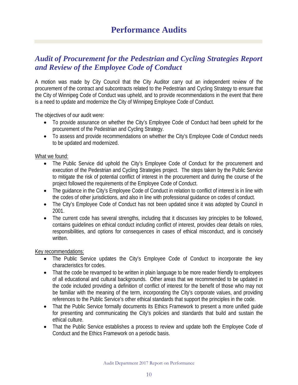#### *Audit of Procurement for the Pedestrian and Cycling Strategies Report and Review of the Employee Code of Conduct*

A motion was made by City Council that the City Auditor carry out an independent review of the procurement of the contract and subcontracts related to the Pedestrian and Cycling Strategy to ensure that the City of Winnipeg Code of Conduct was upheld, and to provide recommendations in the event that there is a need to update and modernize the City of Winnipeg Employee Code of Conduct.

The objectives of our audit were:

- To provide assurance on whether the City's Employee Code of Conduct had been upheld for the procurement of the Pedestrian and Cycling Strategy.
- To assess and provide recommendations on whether the City's Employee Code of Conduct needs to be updated and modernized.

#### What we found:

- The Public Service did uphold the City's Employee Code of Conduct for the procurement and execution of the Pedestrian and Cycling Strategies project. The steps taken by the Public Service to mitigate the risk of potential conflict of interest in the procurement and during the course of the project followed the requirements of the Employee Code of Conduct.
- The quidance in the City's Employee Code of Conduct in relation to conflict of interest is in line with the codes of other jurisdictions, and also in line with professional guidance on codes of conduct.
- The City's Employee Code of Conduct has not been updated since it was adopted by Council in 2001.
- The current code has several strengths, including that it discusses key principles to be followed, contains guidelines on ethical conduct including conflict of interest, provides clear details on roles, responsibilities, and options for consequences in cases of ethical misconduct, and is concisely written.

#### Key recommendations:

- The Public Service updates the City's Employee Code of Conduct to incorporate the key characteristics for codes.
- That the code be revamped to be written in plain language to be more reader friendly to employees of all educational and cultural backgrounds. Other areas that we recommended to be updated in the code included providing a definition of conflict of interest for the benefit of those who may not be familiar with the meaning of the term, incorporating the City's corporate values, and providing references to the Public Service's other ethical standards that support the principles in the code.
- That the Public Service formally documents its Ethics Framework to present a more unified quide for presenting and communicating the City's policies and standards that build and sustain the ethical culture.
- That the Public Service establishes a process to review and update both the Employee Code of Conduct and the Ethics Framework on a periodic basis.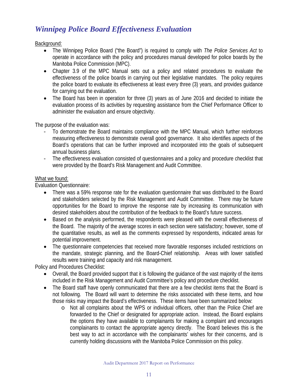### *Winnipeg Police Board Effectiveness Evaluation*

Background:

- The Winnipeg Police Board ("the Board") is required to comply with *The Police Services Act* to operate in accordance with the policy and procedures manual developed for police boards by the Manitoba Police Commission (MPC).
- Chapter 3.9 of the MPC Manual sets out a policy and related procedures to evaluate the effectiveness of the police boards in carrying out their legislative mandates. The policy requires the police board to evaluate its effectiveness at least every three (3) years, and provides guidance for carrying out the evaluation.
- The Board has been in operation for three (3) years as of June 2016 and decided to initiate the evaluation process of its activities by requesting assistance from the Chief Performance Officer to administer the evaluation and ensure objectivity.

The purpose of the evaluation was:

- To demonstrate the Board maintains compliance with the MPC Manual, which further reinforces measuring effectiveness to demonstrate overall good governance. It also identifies aspects of the Board's operations that can be further improved and incorporated into the goals of subsequent annual business plans.
- The effectiveness evaluation consisted of questionnaires and a policy and procedure checklist that were provided by the Board's Risk Management and Audit Committee.

#### What we found:

Evaluation Questionnaire:

- There was a 59% response rate for the evaluation questionnaire that was distributed to the Board and stakeholders selected by the Risk Management and Audit Committee. There may be future opportunities for the Board to improve the response rate by increasing its communication with desired stakeholders about the contribution of the feedback to the Board's future success.
- Based on the analysis performed, the respondents were pleased with the overall effectiveness of the Board. The majority of the average scores in each section were satisfactory; however, some of the quantitative results, as well as the comments expressed by respondents, indicated areas for potential improvement.
- The questionnaire competencies that received more favorable responses included restrictions on the mandate, strategic planning, and the Board-Chief relationship. Areas with lower satisfied results were training and capacity and risk management.

Policy and Procedures Checklist:

- Overall, the Board provided support that it is following the guidance of the vast majority of the items included in the Risk Management and Audit Committee's policy and procedure checklist.
- The Board staff have openly communicated that there are a few checklist items that the Board is not following. The Board will want to determine the risks associated with these items, and how those risks may impact the Board's effectiveness. These items have been summarized below:
	- o Not all complaints about the WPS or individual officers, other than the Police Chief are forwarded to the Chief or designated for appropriate action. Instead, the Board explains the options they have available to complainants for making a complaint and encourages complainants to contact the appropriate agency directly. The Board believes this is the best way to act in accordance with the complainants' wishes for their concerns, and is currently holding discussions with the Manitoba Police Commission on this policy.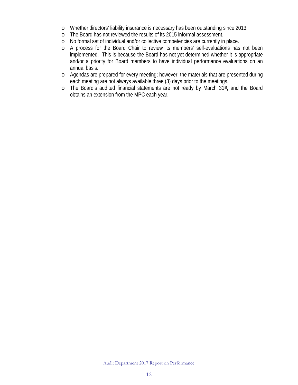- o Whether directors' liability insurance is necessary has been outstanding since 2013.
- o The Board has not reviewed the results of its 2015 informal assessment.
- o No formal set of individual and/or collective competencies are currently in place.
- o A process for the Board Chair to review its members' self-evaluations has not been implemented. This is because the Board has not yet determined whether it is appropriate and/or a priority for Board members to have individual performance evaluations on an annual basis.
- o Agendas are prepared for every meeting; however, the materials that are presented during each meeting are not always available three (3) days prior to the meetings.
- o The Board's audited financial statements are not ready by March 31st, and the Board obtains an extension from the MPC each year.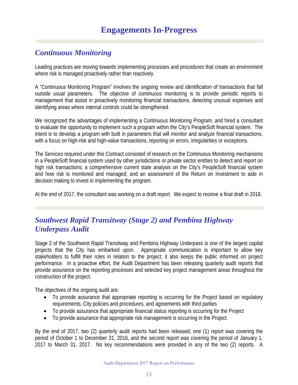### *Continuous Monitoring*

Leading practices are moving towards implementing processes and procedures that create an environment where risk is managed proactively rather than reactively.

A "Continuous Monitoring Program" involves the ongoing review and identification of transactions that fall outside usual parameters. The objective of continuous monitoring is to provide periodic reports to management that assist in proactively monitoring financial transactions, detecting unusual expenses and identifying areas where internal controls could be strengthened.

We recognized the advantages of implementing a Continuous Monitoring Program, and hired a consultant to evaluate the opportunity to implement such a program within the City's PeopleSoft financial system. The intent is to develop a program with built in parameters that will monitor and analyze financial transactions, with a focus on high-risk and high-value transactions, reporting on errors, irregularities or exceptions.

The Services required under this Contract consisted of research on the Continuous Monitoring mechanisms in a PeopleSoft financial system used by other jurisdictions or private sector entities to detect and report on high risk transactions; a comprehensive current state analysis on the City's PeopleSoft financial system and how risk is monitored and managed; and an assessment of the Return on Investment to aide in decision making to invest in implementing the program.

At the end of 2017, the consultant was working on a draft report. We expect to receive a final draft in 2018.

#### *Southwest Rapid Transitway (Stage 2) and Pembina Highway Underpass Audit*

Stage 2 of the Southwest Rapid Transitway and Pembina Highway Underpass is one of the largest capital projects that the City has embarked upon. Appropriate communication is important to allow key stakeholders to fulfill their roles in relation to the project; it also keeps the public informed on project performance. In a proactive effort, the Audit Department has been releasing quarterly audit reports that provide assurance on the reporting processes and selected key project management areas throughout the construction of the project.

The objectives of the ongoing audit are:

- To provide assurance that appropriate reporting is occurring for the Project based on regulatory requirements, City policies and procedures, and agreements with third parties
- To provide assurance that appropriate financial status reporting is occurring for the Project
- To provide assurance that appropriate risk management is occurring in the Project

By the end of 2017, two (2) quarterly audit reports had been released; one (1) report was covering the period of October 1 to December 31, 2016, and the second report was covering the period of January 1, 2017 to March 31, 2017. No key recommendations were provided in any of the two (2) reports. A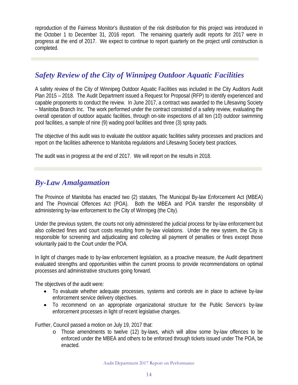reproduction of the Fairness Monitor's illustration of the risk distribution for this project was introduced in the October 1 to December 31, 2016 report. The remaining quarterly audit reports for 2017 were in progress at the end of 2017. We expect to continue to report quarterly on the project until construction is completed.

### *Safety Review of the City of Winnipeg Outdoor Aquatic Facilities*

A safety review of the City of Winnipeg Outdoor Aquatic Facilities was included in the City Auditors Audit Plan 2015 – 2018. The Audit Department issued a Request for Proposal (RFP) to identify experienced and capable proponents to conduct the review. In June 2017, a contract was awarded to the Lifesaving Society – Manitoba Branch Inc. The work performed under the contract consisted of a safety review, evaluating the overall operation of outdoor aquatic facilities, through on-site inspections of all ten (10) outdoor swimming pool facilities, a sample of nine (9) wading pool facilities and three (3) spray pads.

The objective of this audit was to evaluate the outdoor aquatic facilities safety processes and practices and report on the facilities adherence to Manitoba regulations and Lifesaving Society best practices.

The audit was in progress at the end of 2017. We will report on the results in 2018.

#### *By-Law Amalgamation*

The Province of Manitoba has enacted two (2) statutes, The Municipal By-law Enforcement Act (MBEA) and The Provincial Offences Act (POA). Both the MBEA and POA transfer the responsibility of administering by-law enforcement to the City of Winnipeg (the City).

Under the previous system, the courts not only administered the judicial process for by-law enforcement but also collected fines and court costs resulting from by-law violations. Under the new system, the City is responsible for screening and adjudicating and collecting all payment of penalties or fines except those voluntarily paid to the Court under the POA.

In light of changes made to by-law enforcement legislation, as a proactive measure, the Audit department evaluated strengths and opportunities within the current process to provide recommendations on optimal processes and administrative structures going forward.

The objectives of the audit were:

- To evaluate whether adequate processes, systems and controls are in place to achieve by-law enforcement service delivery objectives.
- To recommend on an appropriate organizational structure for the Public Service's by-law enforcement processes in light of recent legislative changes.

Further, Council passed a motion on July 19, 2017 that:

o Those amendments to twelve (12) by-laws, which will allow some by-law offences to be enforced under the MBEA and others to be enforced through tickets issued under The POA, be enacted.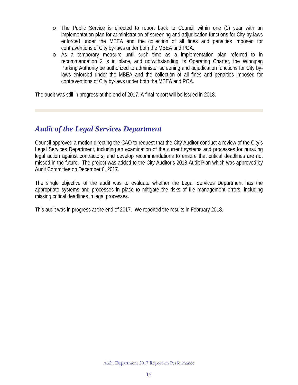- o The Public Service is directed to report back to Council within one (1) year with an implementation plan for administration of screening and adjudication functions for City by-laws enforced under the MBEA and the collection of all fines and penalties imposed for contraventions of City by-laws under both the MBEA and POA.
- o As a temporary measure until such time as a implementation plan referred to in recommendation 2 is in place, and notwithstanding its Operating Charter, the Winnipeg Parking Authority be authorized to administer screening and adjudication functions for City bylaws enforced under the MBEA and the collection of all fines and penalties imposed for contraventions of City by-laws under both the MBEA and POA.

The audit was still in progress at the end of 2017. A final report will be issued in 2018.

#### *[Audit](http://winnipeg.ca/audit/pdfs/reports/2015/CommunityBylawEnforcementServicesAudit.pdf) of the Legal Services Department*

Council approved a motion directing the CAO to request that the City Auditor conduct a review of the City's Legal Services Department, including an examination of the current systems and processes for pursuing legal action against contractors, and develop recommendations to ensure that critical deadlines are not missed in the future. The project was added to the City Auditor's 2018 Audit Plan which was approved by Audit Committee on December 6, 2017.

The single objective of the audit was to evaluate whether the Legal Services Department has the appropriate systems and processes in place to mitigate the risks of file management errors, including missing critical deadlines in legal processes.

This audit was in progress at the end of 2017. We reported the results in February 2018.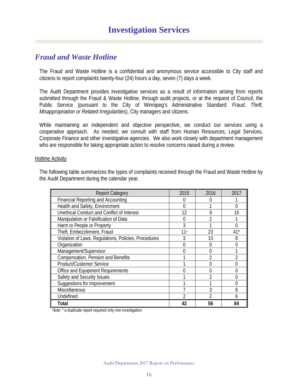#### *Fraud and Waste Hotline*

The Fraud and Waste Hotline is a confidential and anonymous service accessible to City staff and citizens to report complaints twenty-four (24) hours a day, seven (7) days a week.

The Audit Department provides investigative services as a result of information arising from reports submitted through the Fraud & Waste Hotline, through audit projects, or at the request of Council, the Public Service (pursuant to the City of Winnipeg's Administrative Standard: *Fraud, Theft, Misappropriation or Related Irregularities*), City managers and citizens.

While maintaining an independent and objective perspective, we conduct our services using a cooperative approach. As needed, we consult with staff from Human Resources, Legal Services, Corporate Finance and other investigative agencies. We also work closely with department management who are responsible for taking appropriate action to resolve concerns raised during a review.

#### Hotline Activity

The following table summarizes the types of complaints received through the Fraud and Waste Hotline by the Audit Department during the calendar year.

| <b>Report Category</b>                               | 2015  | 2016 | 2017 |
|------------------------------------------------------|-------|------|------|
| <b>Financial Reporting and Accounting</b>            |       |      |      |
| Health and Safety, Environment                       | O     |      |      |
| Unethical Conduct and Conflict of Interest           | 12    | 9    | 16   |
| Manipulation or Falsification of Data                |       | っ    |      |
| Harm to People or Property                           | 3     |      |      |
| Theft, Embezzlement, Fraud                           | $11*$ | 23   | 41*  |
| Violation of Laws, Regulations, Policies, Procedures | 3     | 10   | 8    |
| Organization                                         |       |      |      |
| Management/Supervisor                                |       |      |      |
| Compensation, Pension and Benefits                   |       |      |      |
| Product/Customer Service                             |       |      |      |
| Office and Equipment Requirements                    |       |      |      |
| Safety and Security Issues                           |       |      |      |
| Suggestions for Improvement                          |       |      |      |
| Miscellaneous                                        |       | 3    | 8    |
| Undefined                                            |       |      | h    |
| Total                                                | 42    | 56   | 84   |

Note: \* a duplicate report required only one investigation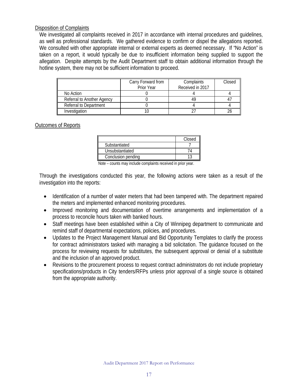#### Disposition of Complaints

We investigated all complaints received in 2017 in accordance with internal procedures and guidelines, as well as professional standards. We gathered evidence to confirm or dispel the allegations reported. We consulted with other appropriate internal or external experts as deemed necessary. If "No Action" is taken on a report, it would typically be due to insufficient information being supplied to support the allegation. Despite attempts by the Audit Department staff to obtain additional information through the hotline system, there may not be sufficient information to proceed.

|                               | Carry Forward from<br>Prior Year | Complaints<br>Received in 2017 | Closed |
|-------------------------------|----------------------------------|--------------------------------|--------|
| No Action                     |                                  |                                |        |
| Referral to Another Agency    |                                  |                                |        |
| <b>Referral to Department</b> |                                  |                                |        |
| Investigation                 |                                  |                                |        |

#### Outcomes of Reports

|                    | Closed |
|--------------------|--------|
| Substantiated      |        |
| Unsubstantiated    |        |
| Conclusion pending |        |

Note – counts may include complaints received in prior year.

Through the investigations conducted this year, the following actions were taken as a result of the investigation into the reports:

- Identification of a number of water meters that had been tampered with. The department repaired the meters and implemented enhanced monitoring procedures.
- Improved monitoring and documentation of overtime arrangements and implementation of a process to reconcile hours taken with banked hours.
- Staff meetings have been established within a City of Winnipeg department to communicate and remind staff of departmental expectations, policies, and procedures.
- Updates to the Project Management Manual and Bid Opportunity Templates to clarify the process for contract administrators tasked with managing a bid solicitation. The guidance focused on the process for reviewing requests for substitutes, the subsequent approval or denial of a substitute and the inclusion of an approved product.
- Revisions to the procurement process to request contract administrators do not include proprietary specifications/products in City tenders/RFPs unless prior approval of a single source is obtained from the appropriate authority.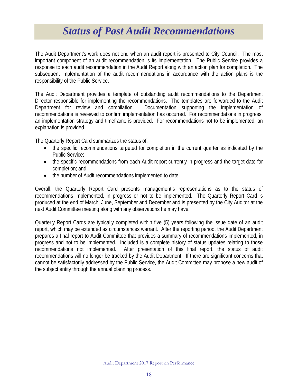### *Status of Past Audit Recommendations*

<span id="page-18-0"></span>The Audit Department's work does not end when an audit report is presented to City Council. The most important component of an audit recommendation is its implementation. The Public Service provides a response to each audit recommendation in the Audit Report along with an action plan for completion. The subsequent implementation of the audit recommendations in accordance with the action plans is the responsibility of the Public Service.

The Audit Department provides a template of outstanding audit recommendations to the Department Director responsible for implementing the recommendations. The templates are forwarded to the Audit Department for review and compilation. Documentation supporting the implementation of recommendations is reviewed to confirm implementation has occurred. For recommendations in progress, an implementation strategy and timeframe is provided. For recommendations not to be implemented, an explanation is provided.

The Quarterly Report Card summarizes the status of:

- the specific recommendations targeted for completion in the current quarter as indicated by the Public Service;
- the specific recommendations from each Audit report currently in progress and the target date for completion; and
- the number of Audit recommendations implemented to date.

Overall, the Quarterly Report Card presents management's representations as to the status of recommendations implemented, in progress or not to be implemented. The Quarterly Report Card is produced at the end of March, June, September and December and is presented by the City Auditor at the next Audit Committee meeting along with any observations he may have.

Quarterly Report Cards are typically completed within five (5) years following the issue date of an audit report, which may be extended as circumstances warrant. After the reporting period, the Audit Department prepares a final report to Audit Committee that provides a summary of recommendations implemented, in progress and not to be implemented. Included is a complete history of status updates relating to those recommendations not implemented. After presentation of this final report, the status of audit recommendations will no longer be tracked by the Audit Department. If there are significant concerns that cannot be satisfactorily addressed by the Public Service, the Audit Committee may propose a new audit of the subject entity through the annual planning process.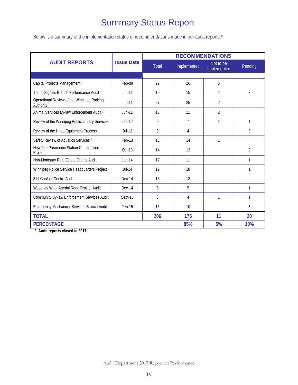### Summary Status Report

Below is a summary of the implementation status of recommendations made in our audit reports.\*

|                                                                      |                   |              | <b>RECOMMENDATIONS</b> |                          |                |  |
|----------------------------------------------------------------------|-------------------|--------------|------------------------|--------------------------|----------------|--|
| <b>AUDIT REPORTS</b>                                                 | <b>Issue Date</b> | <b>Total</b> | Implemented            | Not to be<br>Implemented | Pending        |  |
|                                                                      |                   |              |                        |                          |                |  |
| Capital Projects Management 1                                        | Feb-09            | 29           | 26                     | 3                        |                |  |
| Traffic Signals Branch Performance Audit                             | <b>Jun-11</b>     | 19           | 15                     | 1                        |                |  |
| Operational Review of the Winnipeg Parking<br>Authority <sup>1</sup> | Jun-11            | 27           | 25                     | 2                        |                |  |
| Animal Services By-law Enforcement Audit 1                           | $Jun-11$          | 13           | 11                     | $\overline{2}$           |                |  |
| Review of the Winnipeg Public Library Services                       | $Jan-12$          | 9            | $\overline{7}$         | 1                        | 1              |  |
| Review of the Hired Equipment Process                                | $Jul-12$          | 9            | 4                      |                          | 5              |  |
| Safety Review of Aquatics Services <sup>1</sup>                      | Feb-13            | 15           | 14                     | 1                        |                |  |
| New Fire Paramedic Station Construction<br>Project                   | Oct-13            | 14           | 12                     |                          | $\overline{2}$ |  |
| Non-Monetary Real Estate Grants Audit                                | $Jan-14$          | 12           | 11                     |                          | 1              |  |
| Winnipeg Police Service Headquarters Project                         | $Jul-14$          | 19           | 18                     |                          | 1              |  |
| 311 Contact Centre Audit 1                                           | Dec-14            | 13           | 13                     |                          |                |  |
| Waverley West Arterial Road Project Audit                            | Dec-14            | 6            | 5                      |                          | 1              |  |
| Community By-law Enforcement Services Audit                          | Sept-15           | 6            | 4                      | 1                        | 1              |  |
| Emergency Mechanical Services Branch Audit                           | Feb-15            | 15           | 10                     |                          | 5              |  |
| <b>TOTAL</b>                                                         | 206               |              | 175                    | 11                       | 20             |  |
| <b>PERCENTAGE</b>                                                    |                   |              | 85%                    | 5%                       | 10%            |  |

<span id="page-19-0"></span>**1 Audit reports closed in 2017**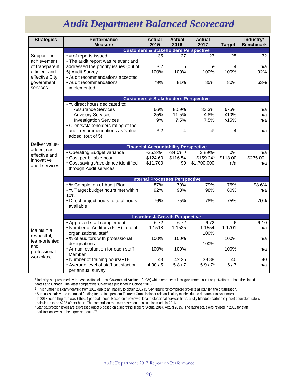# *Audit Department Balanced Scorecard*

| <b>Strategies</b>                                                 | <b>Performance</b><br><b>Measure</b>                                       | <b>Actual</b><br>2015 | <b>Actual</b><br>2016                           | <b>Actual</b><br>2017  | <b>Target</b> | Industry*<br><b>Benchmark</b> |  |
|-------------------------------------------------------------------|----------------------------------------------------------------------------|-----------------------|-------------------------------------------------|------------------------|---------------|-------------------------------|--|
|                                                                   | <b>Customers &amp; Stakeholders Perspective</b>                            |                       |                                                 |                        |               |                               |  |
| Support the<br>achievement<br>of transparent,<br>efficient and    | • # of reports issued<br>. The audit report was relevant and               | 35                    | 27                                              | 27                     | 25            | 32                            |  |
|                                                                   | addressed the priority issues (out of<br>5) Audit Survey                   | 3.2<br>100%           | 5<br>100%                                       | 5 <sup>1</sup><br>100% | 4<br>100%     | n/a<br>92%                    |  |
| effective City<br>government<br>services                          | • Audit recommendations accepted<br>• Audit recommendations<br>implemented | 79%                   | 81%                                             | 85%                    | 80%           | 63%                           |  |
|                                                                   |                                                                            |                       |                                                 |                        |               |                               |  |
|                                                                   |                                                                            |                       | <b>Customers &amp; Stakeholders Perspective</b> |                        |               |                               |  |
|                                                                   | • % direct hours dedicated to:<br><b>Assurance Services</b>                | 66%                   | 80.9%                                           | 83.3%                  | 275%          | n/a                           |  |
|                                                                   | <b>Advisory Services</b>                                                   | 25%                   | 11.5%                                           | 4.8%                   | $≤10%$        | n/a                           |  |
|                                                                   | <b>Investigation Services</b>                                              | 9%                    | 7.5%                                            | 7.5%                   | $≤15%$        | n/a                           |  |
|                                                                   | • Clients/stakeholders rating of the<br>audit recommendations as 'value-   | 3.2                   | 4                                               | 4 <sup>1</sup>         | 4             | n/a                           |  |
|                                                                   | added' (out of 5)                                                          |                       |                                                 |                        |               |                               |  |
| Deliver value-<br>added, cost-                                    |                                                                            |                       | <b>Financial Accountability Perspective</b>     |                        |               |                               |  |
| effective and                                                     | · Operating Budget variance                                                | $-35.3%^{2}$          | $-34.0\%$ <sup>2</sup>                          | 3.89% <sup>2</sup>     | 0%            | n/a                           |  |
| innovative                                                        | • Cost per billable hour                                                   | \$124.60              | \$116.54                                        | \$159.243              | \$118.00      | \$235.00 1                    |  |
| audit services                                                    | • Cost savings/avoidance identified                                        | \$11,700              | \$0                                             | \$1,700,000            | n/a           | n/a                           |  |
|                                                                   | through Audit services                                                     |                       |                                                 |                        |               |                               |  |
|                                                                   |                                                                            |                       | <b>Internal Processes Perspective</b>           |                        |               |                               |  |
|                                                                   | . % Completion of Audit Plan                                               | 87%                   | 79%                                             | 79%                    | 75%           | 98.6%                         |  |
|                                                                   | • % Target budget hours met within<br>10%                                  | 92%                   | 98%                                             | 98%                    | 80%           | n/a                           |  |
|                                                                   | • Direct project hours to total hours<br>available                         | 76%                   | 75%                                             | 78%                    | 75%           | 70%                           |  |
|                                                                   |                                                                            |                       |                                                 |                        |               |                               |  |
|                                                                   |                                                                            |                       | <b>Learning &amp; Growth Perspective</b>        |                        |               |                               |  |
|                                                                   | • Approved staff complement                                                | 6.72                  | 6.72                                            | 6.72                   | 6             | $6 - 10$                      |  |
| Maintain a<br>respectful,<br>team-oriented<br>and<br>professional | • Number of Auditors (FTE) to total<br>organizational staff                | 1:1518                | 1:1525                                          | 1:1554<br>100%         | 1:1701        | n/a                           |  |
|                                                                   | • % of auditors with professional<br>designations                          | 100%                  | 100%                                            | 100%                   | 100%          | n/a                           |  |
|                                                                   | • Annual evaluation for each staff<br>Member                               | 100%                  | 100%                                            |                        | 100%          | n/a                           |  |
| workplace                                                         | • Number of training hours/FTE                                             | 43                    | 42.25                                           | 38.88                  | 40            | 40                            |  |
|                                                                   | • Average level of staff satisfaction<br>per annual survey                 | 4.90/5                | 5.8/7                                           | 5.9 / 7 <sup>4</sup>   | 6/7           | n/a                           |  |

\* Industry is represented by the Association of Local Government Auditors (ALGA) which represents local government audit organizations in both the United States and Canada. The latest comparative survey was published in October 2016.

<sup>1</sup> This number is a carry-forward from 2016 due to an inability to obtain 2017 survey results for completed projects as staff left the organization.

<sup>2</sup> Surplus is mainly due to unused funding for the Independent Fairness Commissioner role and salary monies due to departmental vacancies. <sup>3</sup> In 2017, our billing rate was \$159.24 per audit hour. Based on a review of local professional services firms, a fully blended (partner to junior) equivalent rate is

calculated to be \$235.00 per hour. The comparison rate was based on a calculation made in 2016.

<sup>4</sup> Staff satisfaction levels are expressed out of 5 based on a set rating scale for Actual 2014, Actual 2015. The rating scale was revised in 2016 for staff satisfaction levels to be expressed out of 7.